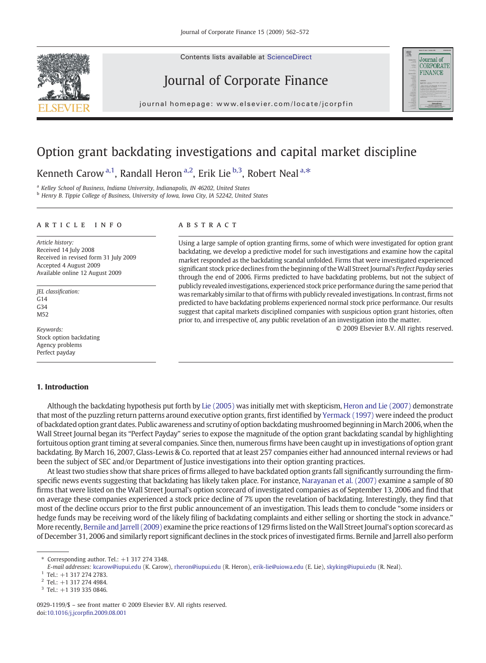Contents lists available at ScienceDirect



# Journal of Corporate Finance



j o u r n a l h om e p a g e  $\alpha$  ev i e r. c om  $\alpha$  t e  $\alpha$  i n  $\alpha$  i n  $\alpha$  i n  $\alpha$ 

# Option grant backdating investigations and capital market discipline

Kenneth Carow<sup>a,1</sup>, Randall Heron<sup>a,2</sup>, Erik Lie<sup>b,3</sup>, Robert Neal<sup>a,\*</sup>

<sup>a</sup> Kelley School of Business, Indiana University, Indianapolis, IN 46202, United States <sup>b</sup> Henry B. Tippie College of Business, University of Iowa, Iowa City, IA 52242, United States

#### article info abstract

Article history: Received 14 July 2008 Received in revised form 31 July 2009 Accepted 4 August 2009 Available online 12 August 2009

JEL classification:  $G<sub>14</sub>$ G34 M52

Keywords: Stock option backdating Agency problems Perfect payday

### 1. Introduction

Using a large sample of option granting firms, some of which were investigated for option grant backdating, we develop a predictive model for such investigations and examine how the capital market responded as the backdating scandal unfolded. Firms that were investigated experienced significant stock price declines from the beginning of the Wall Street Journal's Perfect Payday series through the end of 2006. Firms predicted to have backdating problems, but not the subject of publicly revealed investigations, experienced stock price performance during the same period that was remarkably similar to that of firms with publicly revealed investigations. In contrast, firms not predicted to have backdating problems experienced normal stock price performance. Our results suggest that capital markets disciplined companies with suspicious option grant histories, often prior to, and irrespective of, any public revelation of an investigation into the matter.

© 2009 Elsevier B.V. All rights reserved.

Although the backdating hypothesis put forth by [Lie \(2005\)](#page--1-0) was initially met with skepticism, [Heron and Lie \(2007\)](#page--1-0) demonstrate that most of the puzzling return patterns around executive option grants, first identified by [Yermack \(1997\)](#page--1-0) were indeed the product of backdated option grant dates. Public awareness and scrutiny of option backdating mushroomed beginning in March 2006, when the Wall Street Journal began its "Perfect Payday" series to expose the magnitude of the option grant backdating scandal by highlighting fortuitous option grant timing at several companies. Since then, numerous firms have been caught up in investigations of option grant backdating. By March 16, 2007, Glass-Lewis & Co. reported that at least 257 companies either had announced internal reviews or had been the subject of SEC and/or Department of Justice investigations into their option granting practices.

At least two studies show that share prices of firms alleged to have backdated option grants fall significantly surrounding the firmspecific news events suggesting that backdating has likely taken place. For instance, [Narayanan et al. \(2007\)](#page--1-0) examine a sample of 80 firms that were listed on the Wall Street Journal's option scorecard of investigated companies as of September 13, 2006 and find that on average these companies experienced a stock price decline of 7% upon the revelation of backdating. Interestingly, they find that most of the decline occurs prior to the first public announcement of an investigation. This leads them to conclude "some insiders or hedge funds may be receiving word of the likely filing of backdating complaints and either selling or shorting the stock in advance." More recently, [Bernile and Jarrell \(2009\)](#page--1-0) examine the price reactions of 129 firms listed on theWall Street Journal's option scorecard as of December 31, 2006 and similarly report significant declines in the stock prices of investigated firms. Bernile and Jarrell also perform

 $*$  Corresponding author. Tel.:  $+1$  317 274 3348.

E-mail addresses: [kcarow@iupui.edu](mailto:kcarow@iupui.edu) (K. Carow), [rheron@iupui.edu](mailto:rheron@iupui.edu) (R. Heron), [erik-lie@uiowa.edu](mailto:erik-lie@uiowa.edu) (E. Lie), [skyking@iupui.edu](mailto:skyking@iupui.edu) (R. Neal).

 $1$  Tel: +1 317 274 2783

 $2$  Tel.: +1 317 274 4984.

 $3$  Tel.: +1 319 335 0846.

<sup>0929-1199/\$</sup> – see front matter © 2009 Elsevier B.V. All rights reserved. doi:[10.1016/j.jcorp](http://dx.doi.org/10.1016/j.jcorpfin.2009.08.001)fin.2009.08.001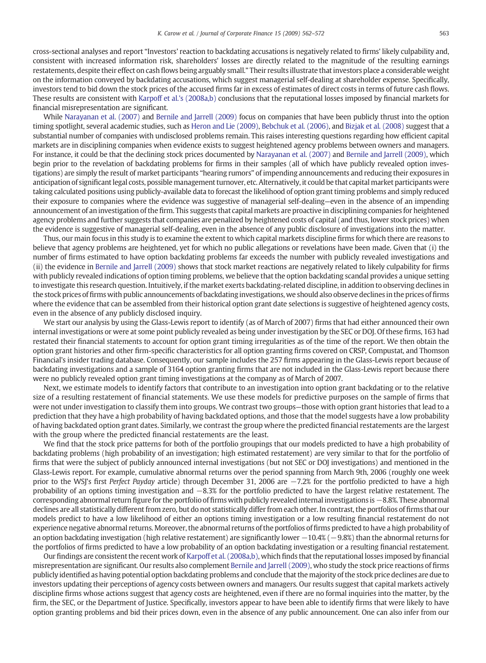cross-sectional analyses and report "Investors' reaction to backdating accusations is negatively related to firms' likely culpability and, consistent with increased information risk, shareholders' losses are directly related to the magnitude of the resulting earnings restatements, despite their effect on cashflows being arguably small." Their results illustrate that investors place a considerable weight on the information conveyed by backdating accusations, which suggest managerial self-dealing at shareholder expense. Specifically, investors tend to bid down the stock prices of the accused firms far in excess of estimates of direct costs in terms of future cash flows. These results are consistent with [Karpoff et al.'s \(2008a,b\)](#page--1-0) conclusions that the reputational losses imposed by financial markets for financial misrepresentation are significant.

While [Narayanan et al. \(2007\)](#page--1-0) and [Bernile and Jarrell \(2009\)](#page--1-0) focus on companies that have been publicly thrust into the option timing spotlight, several academic studies, such as [Heron and Lie \(2009\)](#page--1-0), [Bebchuk et al. \(2006\)](#page--1-0), and [Bizjak et al. \(2008\)](#page--1-0) suggest that a substantial number of companies with undisclosed problems remain. This raises interesting questions regarding how efficient capital markets are in disciplining companies when evidence exists to suggest heightened agency problems between owners and managers. For instance, it could be that the declining stock prices documented by [Narayanan et al. \(2007\)](#page--1-0) and [Bernile and Jarrell \(2009\)](#page--1-0), which begin prior to the revelation of backdating problems for firms in their samples (all of which have publicly revealed option investigations) are simply the result of market participants "hearing rumors" of impending announcements and reducing their exposures in anticipation of significant legal costs, possible management turnover, etc. Alternatively, it could be that capital market participants were taking calculated positions using publicly-available data to forecast the likelihood of option grant timing problems and simply reduced their exposure to companies where the evidence was suggestive of managerial self-dealing—even in the absence of an impending announcement of an investigation of the firm. This suggests that capital markets are proactive in disciplining companies for heightened agency problems and further suggests that companies are penalized by heightened costs of capital (and thus, lower stock prices) when the evidence is suggestive of managerial self-dealing, even in the absence of any public disclosure of investigations into the matter.

Thus, our main focus in this study is to examine the extent to which capital markets discipline firms for which there are reasons to believe that agency problems are heightened, yet for which no public allegations or revelations have been made. Given that (i) the number of firms estimated to have option backdating problems far exceeds the number with publicly revealed investigations and (ii) the evidence in [Bernile and Jarrell \(2009\)](#page--1-0) shows that stock market reactions are negatively related to likely culpability for firms with publicly revealed indications of option timing problems, we believe that the option backdating scandal provides a unique setting to investigate this research question. Intuitively, if the market exerts backdating-related discipline, in addition to observing declines in the stock prices of firms with public announcements of backdating investigations, we should also observe declines in the prices of firms where the evidence that can be assembled from their historical option grant date selections is suggestive of heightened agency costs, even in the absence of any publicly disclosed inquiry.

We start our analysis by using the Glass-Lewis report to identify (as of March of 2007) firms that had either announced their own internal investigations or were at some point publicly revealed as being under investigation by the SEC or DOJ. Of these firms, 163 had restated their financial statements to account for option grant timing irregularities as of the time of the report. We then obtain the option grant histories and other firm-specific characteristics for all option granting firms covered on CRSP, Compustat, and Thomson Financial's insider trading database. Consequently, our sample includes the 257 firms appearing in the Glass-Lewis report because of backdating investigations and a sample of 3164 option granting firms that are not included in the Glass-Lewis report because there were no publicly revealed option grant timing investigations at the company as of March of 2007.

Next, we estimate models to identify factors that contribute to an investigation into option grant backdating or to the relative size of a resulting restatement of financial statements. We use these models for predictive purposes on the sample of firms that were not under investigation to classify them into groups. We contrast two groups—those with option grant histories that lead to a prediction that they have a high probability of having backdated options, and those that the model suggests have a low probability of having backdated option grant dates. Similarly, we contrast the group where the predicted financial restatements are the largest with the group where the predicted financial restatements are the least.

We find that the stock price patterns for both of the portfolio groupings that our models predicted to have a high probability of backdating problems (high probability of an investigation; high estimated restatement) are very similar to that for the portfolio of firms that were the subject of publicly announced internal investigations (but not SEC or DOJ investigations) and mentioned in the Glass-Lewis report. For example, cumulative abnormal returns over the period spanning from March 9th, 2006 (roughly one week prior to the WSJ's first Perfect Payday article) through December 31, 2006 are −7.2% for the portfolio predicted to have a high probability of an options timing investigation and −8.3% for the portfolio predicted to have the largest relative restatement. The corresponding abnormal return figure for the portfolio of firms with publicly revealed internal investigations is −8.8%. These abnormal declines are all statistically different from zero, but do not statistically differ from each other. In contrast, the portfolios of firms that our models predict to have a low likelihood of either an options timing investigation or a low resulting financial restatement do not experience negative abnormal returns. Moreover, the abnormal returns of the portfolios of firms predicted to have a high probability of an option backdating investigation (high relative restatement) are significantly lower  $-10.4%$  ( $-9.8%$ ) than the abnormal returns for the portfolios of firms predicted to have a low probability of an option backdating investigation or a resulting financial restatement.

Our findings are consistent the recent work of [Karpoff et al. \(2008a,b\)](#page--1-0), which finds that the reputational losses imposed by financial misrepresentation are significant. Our results also complement [Bernile and Jarrell \(2009\)](#page--1-0), who study the stock price reactions of firms publicly identified as having potential option backdating problems and conclude that the majority of the stock price declines are due to investors updating their perceptions of agency costs between owners and managers. Our results suggest that capital markets actively discipline firms whose actions suggest that agency costs are heightened, even if there are no formal inquiries into the matter, by the firm, the SEC, or the Department of Justice. Specifically, investors appear to have been able to identify firms that were likely to have option granting problems and bid their prices down, even in the absence of any public announcement. One can also infer from our